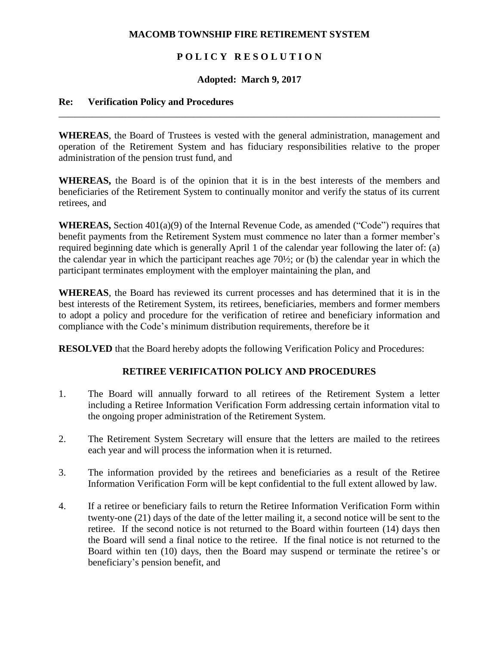### **MACOMB TOWNSHIP FIRE RETIREMENT SYSTEM**

# **P O L I C Y R E S O L U T I O N**

### **Adopted: March 9, 2017**

\_\_\_\_\_\_\_\_\_\_\_\_\_\_\_\_\_\_\_\_\_\_\_\_\_\_\_\_\_\_\_\_\_\_\_\_\_\_\_\_\_\_\_\_\_\_\_\_\_\_\_\_\_\_\_\_\_\_\_\_\_\_\_\_\_\_\_\_\_\_\_\_\_\_\_\_\_\_

#### **Re: Verification Policy and Procedures**

**WHEREAS**, the Board of Trustees is vested with the general administration, management and operation of the Retirement System and has fiduciary responsibilities relative to the proper administration of the pension trust fund, and

**WHEREAS,** the Board is of the opinion that it is in the best interests of the members and beneficiaries of the Retirement System to continually monitor and verify the status of its current retirees, and

**WHEREAS,** Section 401(a)(9) of the Internal Revenue Code, as amended ("Code") requires that benefit payments from the Retirement System must commence no later than a former member's required beginning date which is generally April 1 of the calendar year following the later of: (a) the calendar year in which the participant reaches age 70½; or (b) the calendar year in which the participant terminates employment with the employer maintaining the plan, and

**WHEREAS**, the Board has reviewed its current processes and has determined that it is in the best interests of the Retirement System, its retirees, beneficiaries, members and former members to adopt a policy and procedure for the verification of retiree and beneficiary information and compliance with the Code's minimum distribution requirements, therefore be it

**RESOLVED** that the Board hereby adopts the following Verification Policy and Procedures:

# **RETIREE VERIFICATION POLICY AND PROCEDURES**

- 1. The Board will annually forward to all retirees of the Retirement System a letter including a Retiree Information Verification Form addressing certain information vital to the ongoing proper administration of the Retirement System.
- 2. The Retirement System Secretary will ensure that the letters are mailed to the retirees each year and will process the information when it is returned.
- 3. The information provided by the retirees and beneficiaries as a result of the Retiree Information Verification Form will be kept confidential to the full extent allowed by law.
- 4. If a retiree or beneficiary fails to return the Retiree Information Verification Form within twenty-one (21) days of the date of the letter mailing it, a second notice will be sent to the retiree. If the second notice is not returned to the Board within fourteen (14) days then the Board will send a final notice to the retiree. If the final notice is not returned to the Board within ten (10) days, then the Board may suspend or terminate the retiree's or beneficiary's pension benefit, and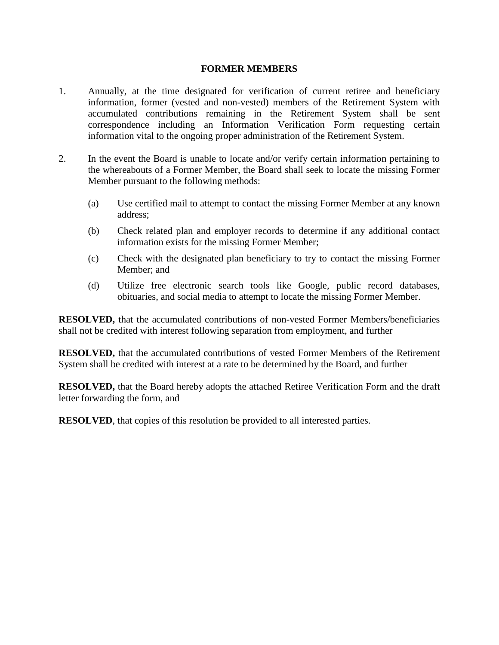### **FORMER MEMBERS**

- 1. Annually, at the time designated for verification of current retiree and beneficiary information, former (vested and non-vested) members of the Retirement System with accumulated contributions remaining in the Retirement System shall be sent correspondence including an Information Verification Form requesting certain information vital to the ongoing proper administration of the Retirement System.
- 2. In the event the Board is unable to locate and/or verify certain information pertaining to the whereabouts of a Former Member, the Board shall seek to locate the missing Former Member pursuant to the following methods:
	- (a) Use certified mail to attempt to contact the missing Former Member at any known address;
	- (b) Check related plan and employer records to determine if any additional contact information exists for the missing Former Member;
	- (c) Check with the designated plan beneficiary to try to contact the missing Former Member; and
	- (d) Utilize free electronic search tools like Google, public record databases, obituaries, and social media to attempt to locate the missing Former Member.

**RESOLVED,** that the accumulated contributions of non-vested Former Members/beneficiaries shall not be credited with interest following separation from employment, and further

**RESOLVED,** that the accumulated contributions of vested Former Members of the Retirement System shall be credited with interest at a rate to be determined by the Board, and further

**RESOLVED,** that the Board hereby adopts the attached Retiree Verification Form and the draft letter forwarding the form, and

**RESOLVED**, that copies of this resolution be provided to all interested parties.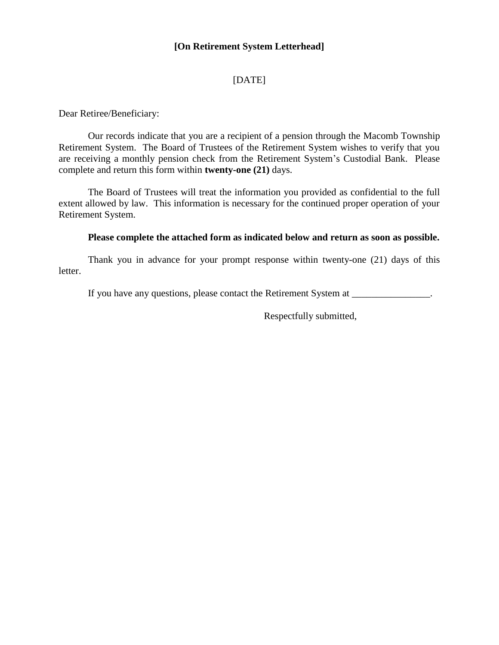### **[On Retirement System Letterhead]**

# [DATE]

Dear Retiree/Beneficiary:

Our records indicate that you are a recipient of a pension through the Macomb Township Retirement System. The Board of Trustees of the Retirement System wishes to verify that you are receiving a monthly pension check from the Retirement System's Custodial Bank. Please complete and return this form within **twenty-one (21)** days.

The Board of Trustees will treat the information you provided as confidential to the full extent allowed by law. This information is necessary for the continued proper operation of your Retirement System.

#### **Please complete the attached form as indicated below and return as soon as possible.**

Thank you in advance for your prompt response within twenty-one (21) days of this letter.

If you have any questions, please contact the Retirement System at \_\_\_\_\_\_\_\_\_\_\_\_\_\_.

Respectfully submitted,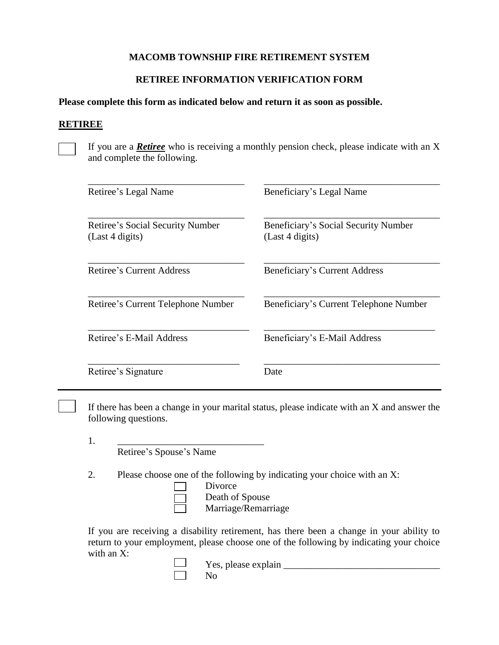# **MACOMB TOWNSHIP FIRE RETIREMENT SYSTEM**

# **RETIREE INFORMATION VERIFICATION FORM**

#### **Please complete this form as indicated below and return it as soon as possible.**

#### **RETIREE**

If you are a *Retiree* who is receiving a monthly pension check, please indicate with an X and complete the following.

| Retiree's Legal Name                                       | Beneficiary's Legal Name                                |
|------------------------------------------------------------|---------------------------------------------------------|
| <b>Retiree's Social Security Number</b><br>(Last 4 digits) | Beneficiary's Social Security Number<br>(Last 4 digits) |
| Retiree's Current Address                                  | Beneficiary's Current Address                           |
| Retiree's Current Telephone Number                         | Beneficiary's Current Telephone Number                  |
| Retiree's E-Mail Address                                   | Beneficiary's E-Mail Address                            |
| Retiree's Signature                                        | Date                                                    |

If there has been a change in your marital status, please indicate with an X and answer the following questions.

1. \_\_\_\_\_\_\_\_\_\_\_\_\_\_\_\_\_\_\_\_\_\_\_\_\_\_\_\_\_\_

Retiree's Spouse's Name

2. Please choose one of the following by indicating your choice with an X:

- Divorce
- Death of Spouse

Marriage/Remarriage

If you are receiving a disability retirement, has there been a change in your ability to return to your employment, please choose one of the following by indicating your choice with an X:

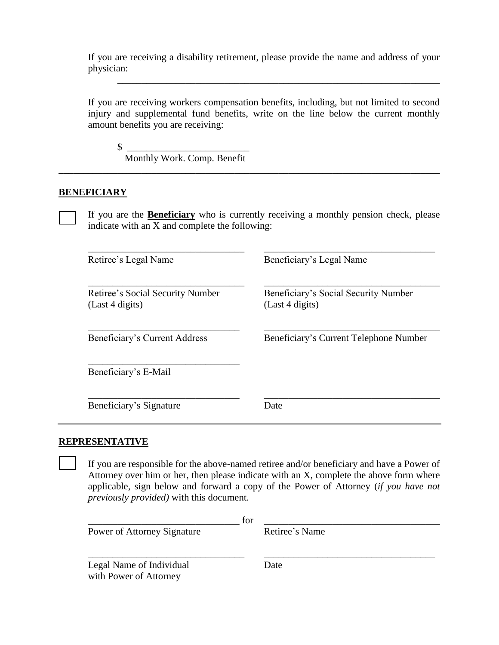If you are receiving a disability retirement, please provide the name and address of your physician:

\_\_\_\_\_\_\_\_\_\_\_\_\_\_\_\_\_\_\_\_\_\_\_\_\_\_\_\_\_\_\_\_\_\_\_\_\_\_\_\_\_\_\_\_\_\_\_\_\_\_\_\_\_\_\_\_\_\_\_\_\_\_\_\_\_\_

If you are receiving workers compensation benefits, including, but not limited to second injury and supplemental fund benefits, write on the line below the current monthly amount benefits you are receiving:

 $\frac{\sqrt{2}}{2}$ 

Monthly Work. Comp. Benefit

### **BENEFICIARY**

If you are the **Beneficiary** who is currently receiving a monthly pension check, please indicate with an X and complete the following:

\_\_\_\_\_\_\_\_\_\_\_\_\_\_\_\_\_\_\_\_\_\_\_\_\_\_\_\_\_\_\_\_\_\_\_\_\_\_\_\_\_\_\_\_\_\_\_\_\_\_\_\_\_\_\_\_\_\_\_\_\_\_\_\_\_\_\_\_\_\_\_\_\_\_\_\_\_\_

| Retiree's Legal Name                                | Beneficiary's Legal Name                                |
|-----------------------------------------------------|---------------------------------------------------------|
| Retiree's Social Security Number<br>(Last 4 digits) | Beneficiary's Social Security Number<br>(Last 4 digits) |
| Beneficiary's Current Address                       | Beneficiary's Current Telephone Number                  |
| Beneficiary's E-Mail                                |                                                         |
| Beneficiary's Signature                             | Date                                                    |

### **REPRESENTATIVE**

If you are responsible for the above-named retiree and/or beneficiary and have a Power of Attorney over him or her, then please indicate with an X, complete the above form where applicable, sign below and forward a copy of the Power of Attorney (*if you have not previously provided)* with this document.

| Power of Attorney Signature                        | for | Retiree's Name |
|----------------------------------------------------|-----|----------------|
| Legal Name of Individual<br>with Power of Attorney |     | Date           |